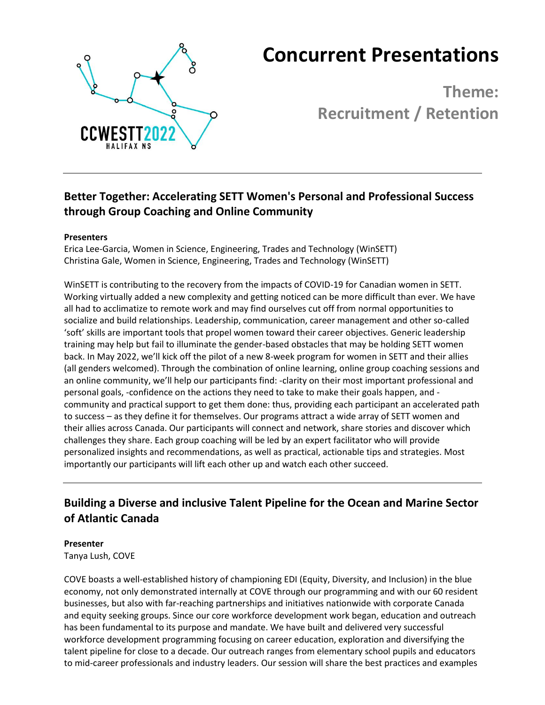

# **Concurrent Presentations**

**Theme: Recruitment / Retention**

# **Better Together: Accelerating SETT Women's Personal and Professional Success through Group Coaching and Online Community**

#### **Presenters**

Erica Lee-Garcia, Women in Science, Engineering, Trades and Technology (WinSETT) Christina Gale, Women in Science, Engineering, Trades and Technology (WinSETT)

WinSETT is contributing to the recovery from the impacts of COVID-19 for Canadian women in SETT. Working virtually added a new complexity and getting noticed can be more difficult than ever. We have all had to acclimatize to remote work and may find ourselves cut off from normal opportunities to socialize and build relationships. Leadership, communication, career management and other so-called 'soft' skills are important tools that propel women toward their career objectives. Generic leadership training may help but fail to illuminate the gender-based obstacles that may be holding SETT women back. In May 2022, we'll kick off the pilot of a new 8-week program for women in SETT and their allies (all genders welcomed). Through the combination of online learning, online group coaching sessions and an online community, we'll help our participants find: -clarity on their most important professional and personal goals, -confidence on the actions they need to take to make their goals happen, and community and practical support to get them done: thus, providing each participant an accelerated path to success – as they define it for themselves. Our programs attract a wide array of SETT women and their allies across Canada. Our participants will connect and network, share stories and discover which challenges they share. Each group coaching will be led by an expert facilitator who will provide personalized insights and recommendations, as well as practical, actionable tips and strategies. Most importantly our participants will lift each other up and watch each other succeed.

### **Building a Diverse and inclusive Talent Pipeline for the Ocean and Marine Sector of Atlantic Canada**

#### **Presenter**

Tanya Lush, COVE

COVE boasts a well-established history of championing EDI (Equity, Diversity, and Inclusion) in the blue economy, not only demonstrated internally at COVE through our programming and with our 60 resident businesses, but also with far-reaching partnerships and initiatives nationwide with corporate Canada and equity seeking groups. Since our core workforce development work began, education and outreach has been fundamental to its purpose and mandate. We have built and delivered very successful workforce development programming focusing on career education, exploration and diversifying the talent pipeline for close to a decade. Our outreach ranges from elementary school pupils and educators to mid-career professionals and industry leaders. Our session will share the best practices and examples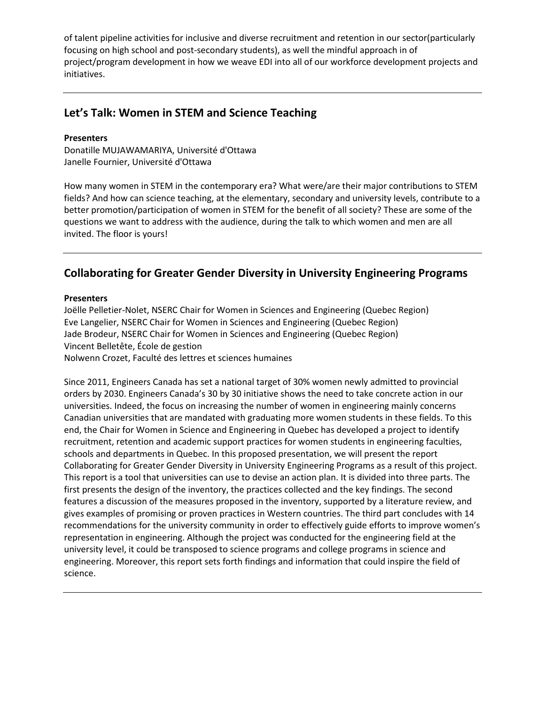of talent pipeline activities for inclusive and diverse recruitment and retention in our sector(particularly focusing on high school and post-secondary students), as well the mindful approach in of project/program development in how we weave EDI into all of our workforce development projects and initiatives.

### **Let's Talk: Women in STEM and Science Teaching**

#### **Presenters**

Donatille MUJAWAMARIYA, Université d'Ottawa Janelle Fournier, Université d'Ottawa

How many women in STEM in the contemporary era? What were/are their major contributions to STEM fields? And how can science teaching, at the elementary, secondary and university levels, contribute to a better promotion/participation of women in STEM for the benefit of all society? These are some of the questions we want to address with the audience, during the talk to which women and men are all invited. The floor is yours!

### **Collaborating for Greater Gender Diversity in University Engineering Programs**

#### **Presenters**

Joëlle Pelletier-Nolet, NSERC Chair for Women in Sciences and Engineering (Quebec Region) Eve Langelier, NSERC Chair for Women in Sciences and Engineering (Quebec Region) Jade Brodeur, NSERC Chair for Women in Sciences and Engineering (Quebec Region) Vincent Belletête, École de gestion Nolwenn Crozet, Faculté des lettres et sciences humaines

Since 2011, Engineers Canada has set a national target of 30% women newly admitted to provincial orders by 2030. Engineers Canada's 30 by 30 initiative shows the need to take concrete action in our universities. Indeed, the focus on increasing the number of women in engineering mainly concerns Canadian universities that are mandated with graduating more women students in these fields. To this end, the Chair for Women in Science and Engineering in Quebec has developed a project to identify recruitment, retention and academic support practices for women students in engineering faculties, schools and departments in Quebec. In this proposed presentation, we will present the report Collaborating for Greater Gender Diversity in University Engineering Programs as a result of this project. This report is a tool that universities can use to devise an action plan. It is divided into three parts. The first presents the design of the inventory, the practices collected and the key findings. The second features a discussion of the measures proposed in the inventory, supported by a literature review, and gives examples of promising or proven practices in Western countries. The third part concludes with 14 recommendations for the university community in order to effectively guide efforts to improve women's representation in engineering. Although the project was conducted for the engineering field at the university level, it could be transposed to science programs and college programs in science and engineering. Moreover, this report sets forth findings and information that could inspire the field of science.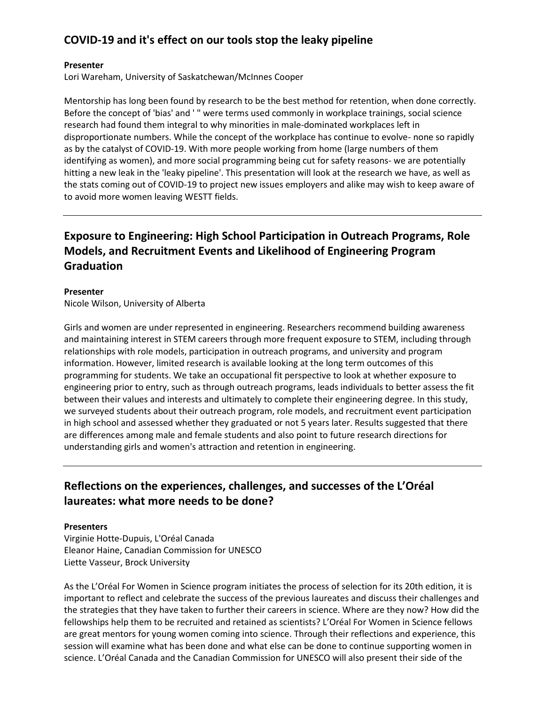### **COVID-19 and it's effect on our tools stop the leaky pipeline**

#### **Presenter**

Lori Wareham, University of Saskatchewan/McInnes Cooper

Mentorship has long been found by research to be the best method for retention, when done correctly. Before the concept of 'bias' and ' " were terms used commonly in workplace trainings, social science research had found them integral to why minorities in male-dominated workplaces left in disproportionate numbers. While the concept of the workplace has continue to evolve- none so rapidly as by the catalyst of COVID-19. With more people working from home (large numbers of them identifying as women), and more social programming being cut for safety reasons- we are potentially hitting a new leak in the 'leaky pipeline'. This presentation will look at the research we have, as well as the stats coming out of COVID-19 to project new issues employers and alike may wish to keep aware of to avoid more women leaving WESTT fields.

# **Exposure to Engineering: High School Participation in Outreach Programs, Role Models, and Recruitment Events and Likelihood of Engineering Program Graduation**

#### **Presenter**

Nicole Wilson, University of Alberta

Girls and women are under represented in engineering. Researchers recommend building awareness and maintaining interest in STEM careers through more frequent exposure to STEM, including through relationships with role models, participation in outreach programs, and university and program information. However, limited research is available looking at the long term outcomes of this programming for students. We take an occupational fit perspective to look at whether exposure to engineering prior to entry, such as through outreach programs, leads individuals to better assess the fit between their values and interests and ultimately to complete their engineering degree. In this study, we surveyed students about their outreach program, role models, and recruitment event participation in high school and assessed whether they graduated or not 5 years later. Results suggested that there are differences among male and female students and also point to future research directions for understanding girls and women's attraction and retention in engineering.

### **Reflections on the experiences, challenges, and successes of the L'Oréal laureates: what more needs to be done?**

#### **Presenters**

Virginie Hotte-Dupuis, L'Oréal Canada Eleanor Haine, Canadian Commission for UNESCO Liette Vasseur, Brock University

As the L'Oréal For Women in Science program initiates the process of selection for its 20th edition, it is important to reflect and celebrate the success of the previous laureates and discuss their challenges and the strategies that they have taken to further their careers in science. Where are they now? How did the fellowships help them to be recruited and retained as scientists? L'Oréal For Women in Science fellows are great mentors for young women coming into science. Through their reflections and experience, this session will examine what has been done and what else can be done to continue supporting women in science. L'Oréal Canada and the Canadian Commission for UNESCO will also present their side of the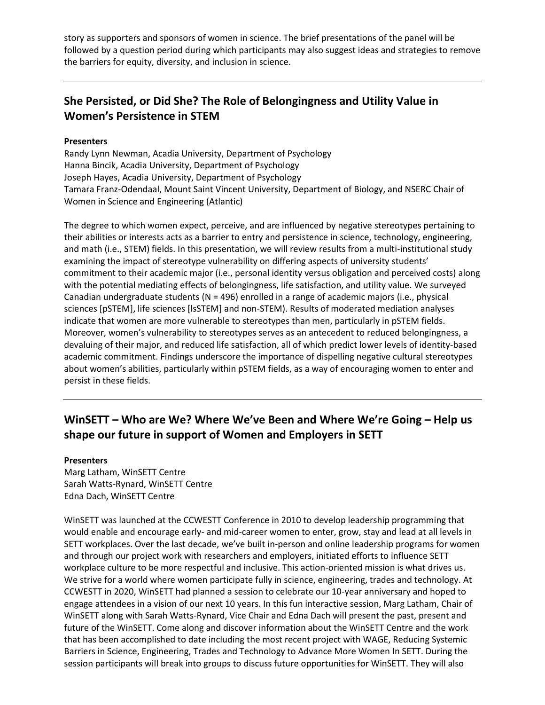story as supporters and sponsors of women in science. The brief presentations of the panel will be followed by a question period during which participants may also suggest ideas and strategies to remove the barriers for equity, diversity, and inclusion in science.

### **She Persisted, or Did She? The Role of Belongingness and Utility Value in Women's Persistence in STEM**

#### **Presenters**

Randy Lynn Newman, Acadia University, Department of Psychology Hanna Bincik, Acadia University, Department of Psychology Joseph Hayes, Acadia University, Department of Psychology Tamara Franz-Odendaal, Mount Saint Vincent University, Department of Biology, and NSERC Chair of Women in Science and Engineering (Atlantic)

The degree to which women expect, perceive, and are influenced by negative stereotypes pertaining to their abilities or interests acts as a barrier to entry and persistence in science, technology, engineering, and math (i.e., STEM) fields. In this presentation, we will review results from a multi-institutional study examining the impact of stereotype vulnerability on differing aspects of university students' commitment to their academic major (i.e., personal identity versus obligation and perceived costs) along with the potential mediating effects of belongingness, life satisfaction, and utility value. We surveyed Canadian undergraduate students (N = 496) enrolled in a range of academic majors (i.e., physical sciences [pSTEM], life sciences [lsSTEM] and non-STEM). Results of moderated mediation analyses indicate that women are more vulnerable to stereotypes than men, particularly in pSTEM fields. Moreover, women's vulnerability to stereotypes serves as an antecedent to reduced belongingness, a devaluing of their major, and reduced life satisfaction, all of which predict lower levels of identity-based academic commitment. Findings underscore the importance of dispelling negative cultural stereotypes about women's abilities, particularly within pSTEM fields, as a way of encouraging women to enter and persist in these fields.

### **WinSETT – Who are We? Where We've Been and Where We're Going – Help us shape our future in support of Women and Employers in SETT**

#### **Presenters**

Marg Latham, WinSETT Centre Sarah Watts-Rynard, WinSETT Centre Edna Dach, WinSETT Centre

WinSETT was launched at the CCWESTT Conference in 2010 to develop leadership programming that would enable and encourage early- and mid-career women to enter, grow, stay and lead at all levels in SETT workplaces. Over the last decade, we've built in-person and online leadership programs for women and through our project work with researchers and employers, initiated efforts to influence SETT workplace culture to be more respectful and inclusive. This action-oriented mission is what drives us. We strive for a world where women participate fully in science, engineering, trades and technology. At CCWESTT in 2020, WinSETT had planned a session to celebrate our 10-year anniversary and hoped to engage attendees in a vision of our next 10 years. In this fun interactive session, Marg Latham, Chair of WinSETT along with Sarah Watts-Rynard, Vice Chair and Edna Dach will present the past, present and future of the WinSETT. Come along and discover information about the WinSETT Centre and the work that has been accomplished to date including the most recent project with WAGE, Reducing Systemic Barriers in Science, Engineering, Trades and Technology to Advance More Women In SETT. During the session participants will break into groups to discuss future opportunities for WinSETT. They will also